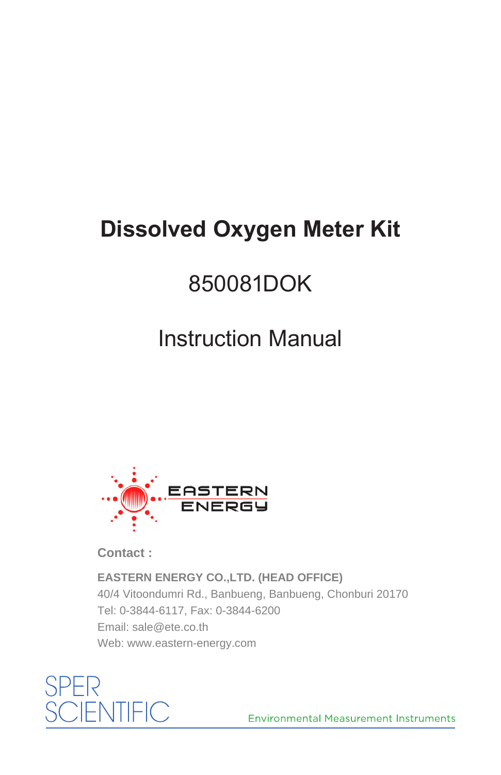# **Dissolved Oxygen Meter Kit**

# 850081DOK

# Instruction Manual



**Contact :**

**EASTERN ENERGY CO.,LTD. (HEAD OFFICE)** 40/4 Vitoondumri Rd., Banbueng, Banbueng, Chonburi 20170 Tel: 0-3844-6117, Fax: 0-3844-6200 Email: sale@ete.co.th Web: www.eastern-energy.com



**Environmental Measurement Instruments**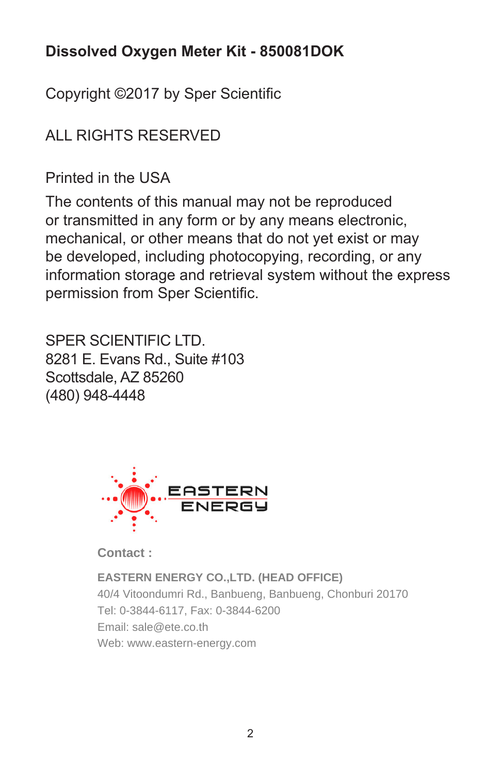## **Dissolved Oxygen Meter Kit - 850081DOK**

Copyright ©2017 by Sper Scientific

# ALL RIGHTS RESERVED

Printed in the USA

The contents of this manual may not be reproduced or transmitted in any form or by any means electronic, mechanical, or other means that do not yet exist or may be developed, including photocopying, recording, or any information storage and retrieval system without the express permission from Sper Scientific.

SPER SCIENTIFIC LTD. 8281 E. Evans Rd., Suite #103 Scottsdale, AZ 85260 (480) 948-4448



**Contact :**

**EASTERN ENERGY CO.,LTD. (HEAD OFFICE)** 40/4 Vitoondumri Rd., Banbueng, Banbueng, Chonburi 20170 Tel: 0-3844-6117, Fax: 0-3844-6200 Email: sale@ete.co.th Web: www.eastern-energy.com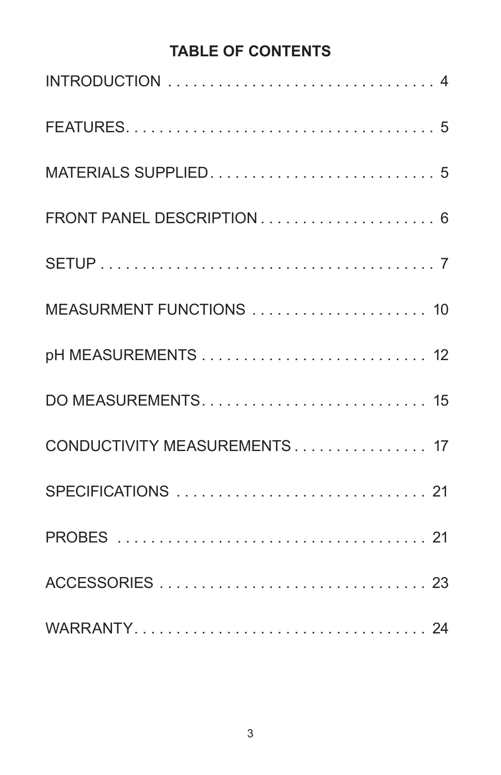## **TABLE OF CONTENTS**

| MEASURMENT FUNCTIONS  10     |
|------------------------------|
|                              |
|                              |
| CONDUCTIVITY MEASUREMENTS 17 |
|                              |
|                              |
|                              |
|                              |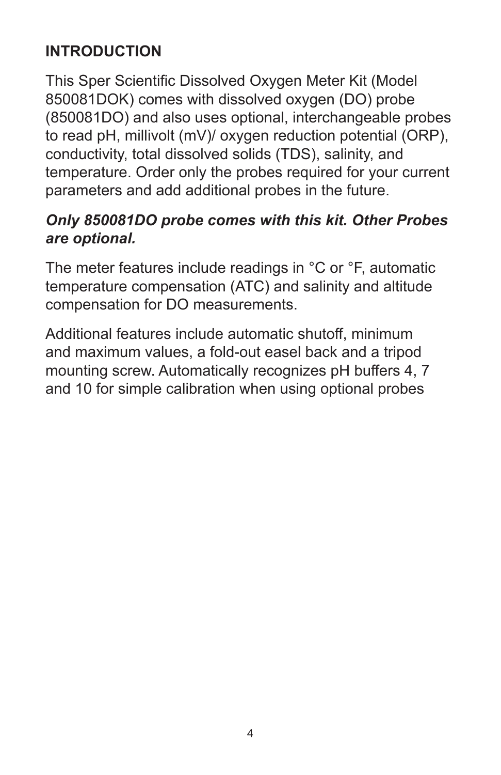## **INTRODUCTION**

This Sper Scientific Dissolved Oxygen Meter Kit (Model 850081DOK) comes with dissolved oxygen (DO) probe (850081DO) and also uses optional, interchangeable probes to read pH, millivolt (mV)/ oxygen reduction potential (ORP), conductivity, total dissolved solids (TDS), salinity, and temperature. Order only the probes required for your current parameters and add additional probes in the future.

#### *Only 850081DO probe comes with this kit. Other Probes are optional.*

The meter features include readings in °C or °F, automatic temperature compensation (ATC) and salinity and altitude compensation for DO measurements.

Additional features include automatic shutoff, minimum and maximum values, a fold-out easel back and a tripod mounting screw. Automatically recognizes pH buffers 4, 7 and 10 for simple calibration when using optional probes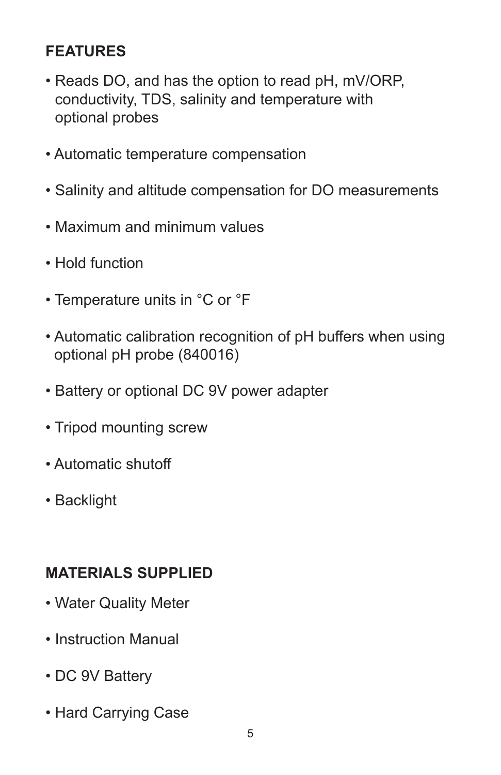## **FEATURES**

- Reads DO, and has the option to read pH, mV/ORP, conductivity, TDS, salinity and temperature with optional probes
- Automatic temperature compensation
- Salinity and altitude compensation for DO measurements
- Maximum and minimum values
- Hold function
- Temperature units in °C or °F
- Automatic calibration recognition of pH buffers when using optional pH probe (840016)
- Battery or optional DC 9V power adapter
- Tripod mounting screw
- Automatic shutoff
- Backlight

#### **MATERIALS SUPPLIED**

- Water Quality Meter
- Instruction Manual
- DC 9V Battery
- Hard Carrying Case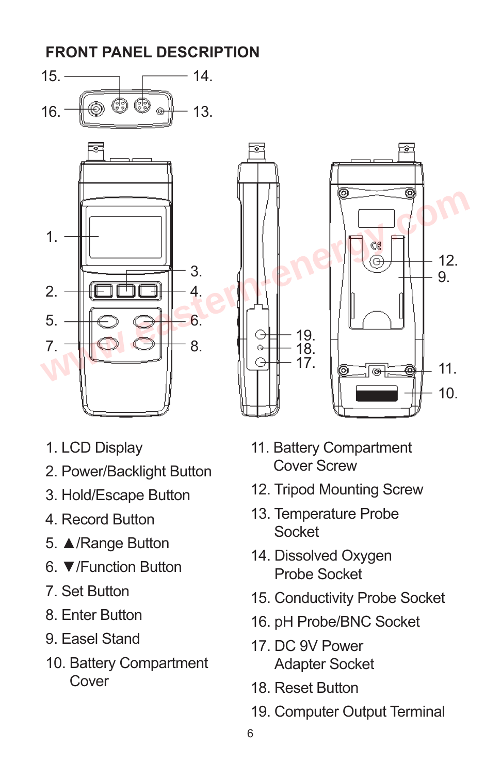



- 1. LCD Display
- 2. Power/Backlight Button
- 3. Hold/Escape Button
- 4. Record Button
- 5. ▲/Range Button
- 6. ▼/Function Button
- 7. Set Button
- 8. Enter Button
- 9. Easel Stand
- 10. Battery Compartment Cover
- 11. Battery Compartment Cover Screw
- 12. Tripod Mounting Screw
- 13. Temperature Probe Socket
- 14. Dissolved Oxygen Probe Socket
- 15. Conductivity Probe Socket
- 16. pH Probe/BNC Socket
- 17. DC 9V Power Adapter Socket
- 18. Reset Button
- 19. Computer Output Terminal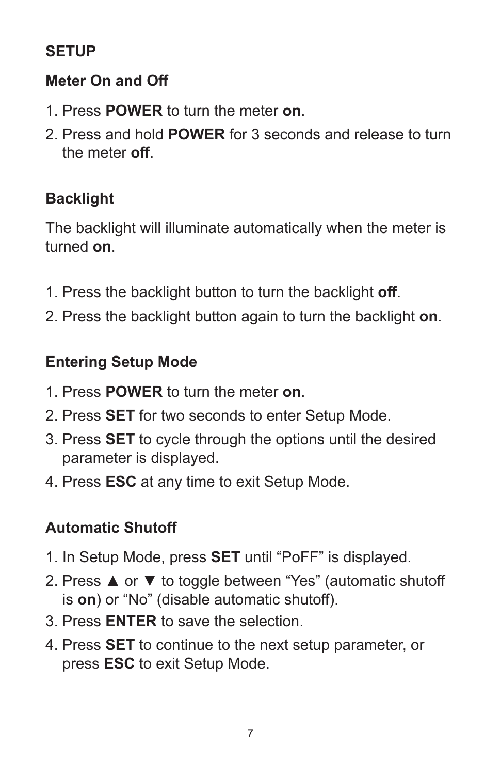## **SETUP**

#### **Meter On and Off**

- 1. Press **POWER** to turn the meter **on**.
- 2. Press and hold **POWER** for 3 seconds and release to turn the meter **off**.

## **Backlight**

The backlight will illuminate automatically when the meter is turned **on**.

- 1. Press the backlight button to turn the backlight **off**.
- 2. Press the backlight button again to turn the backlight **on**.

### **Entering Setup Mode**

- 1. Press **POWER** to turn the meter **on**.
- 2. Press **SET** for two seconds to enter Setup Mode.
- 3. Press **SET** to cycle through the options until the desired parameter is displayed.
- 4. Press **ESC** at any time to exit Setup Mode.

## **Automatic Shutoff**

- 1. In Setup Mode, press **SET** until "PoFF" is displayed.
- 2. Press ▲ or ▼ to toggle between "Yes" (automatic shutoff is **on**) or "No" (disable automatic shutoff).
- 3. Press **ENTER** to save the selection.
- 4. Press **SET** to continue to the next setup parameter, or press **ESC** to exit Setup Mode.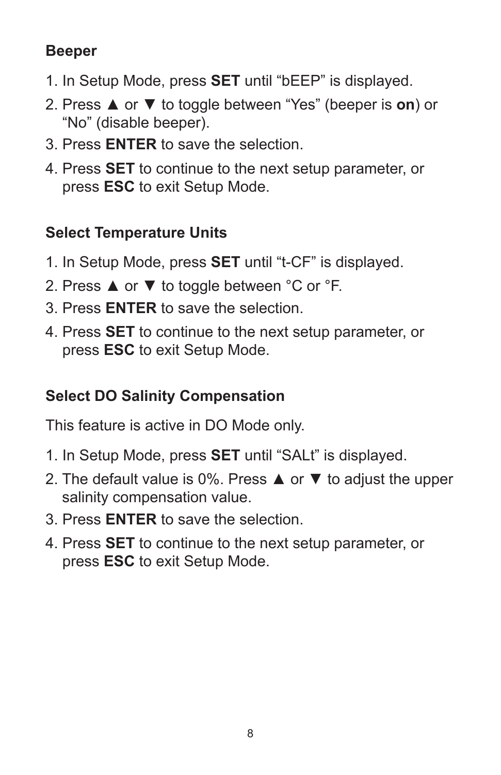## **Beeper**

- 1. In Setup Mode, press **SET** until "bEEP" is displayed.
- 2. Press ▲ or ▼ to toggle between "Yes" (beeper is **on**) or "No" (disable beeper).
- 3. Press **ENTER** to save the selection.
- 4. Press **SET** to continue to the next setup parameter, or press **ESC** to exit Setup Mode.

## **Select Temperature Units**

- 1. In Setup Mode, press **SET** until "t-CF" is displayed.
- 2. Press **▲** or ▼ to toggle between °C or °F.
- 3. Press **ENTER** to save the selection.
- 4. Press **SET** to continue to the next setup parameter, or press **ESC** to exit Setup Mode.

## **Select DO Salinity Compensation**

This feature is active in DO Mode only.

- 1. In Setup Mode, press **SET** until "SALt" is displayed.
- 2. The default value is 0%. Press ▲ or ▼ to adjust the upper salinity compensation value.
- 3. Press **ENTER** to save the selection.
- 4. Press **SET** to continue to the next setup parameter, or press **ESC** to exit Setup Mode.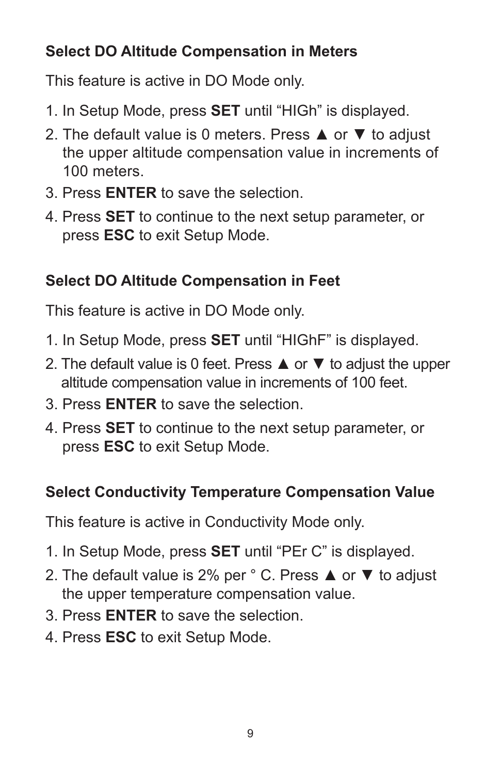## **Select DO Altitude Compensation in Meters**

This feature is active in DO Mode only.

- 1. In Setup Mode, press **SET** until "HIGh" is displayed.
- 2. The default value is 0 meters. Press **A** or  $\blacktriangledown$  to adjust the upper altitude compensation value in increments of 100 meters.
- 3. Press **ENTER** to save the selection.
- 4. Press **SET** to continue to the next setup parameter, or press **ESC** to exit Setup Mode.

## **Select DO Altitude Compensation in Feet**

This feature is active in DO Mode only.

- 1. In Setup Mode, press **SET** until "HIGhF" is displayed.
- 2. The default value is 0 feet. Press  $\triangle$  or  $\blacktriangledown$  to adjust the upper altitude compensation value in increments of 100 feet.
- 3. Press **ENTER** to save the selection.
- 4. Press **SET** to continue to the next setup parameter, or press **ESC** to exit Setup Mode.

# **Select Conductivity Temperature Compensation Value**

This feature is active in Conductivity Mode only.

- 1. In Setup Mode, press **SET** until "PEr C" is displayed.
- 2. The default value is 2% per ° C. Press ▲ or ▼ to adjust the upper temperature compensation value.
- 3. Press **ENTER** to save the selection.
- 4. Press **ESC** to exit Setup Mode.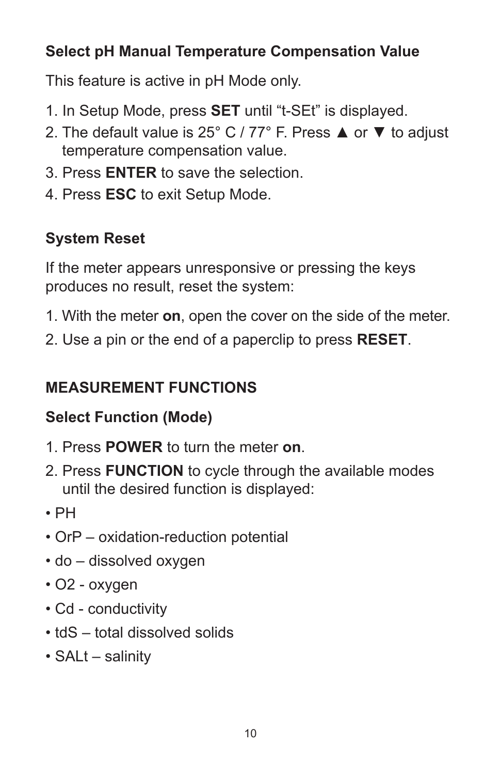## **Select pH Manual Temperature Compensation Value**

This feature is active in pH Mode only.

- 1. In Setup Mode, press **SET** until "t-SEt" is displayed.
- 2. The default value is 25° C / 77° F. Press ▲ or ▼ to adjust temperature compensation value.
- 3. Press **ENTER** to save the selection.
- 4. Press **ESC** to exit Setup Mode.

# **System Reset**

If the meter appears unresponsive or pressing the keys produces no result, reset the system:

- 1. With the meter **on**, open the cover on the side of the meter.
- 2. Use a pin or the end of a paperclip to press **RESET**.

# **MEASUREMENT FUNCTIONS**

## **Select Function (Mode)**

- 1. Press **POWER** to turn the meter **on**.
- 2. Press **FUNCTION** to cycle through the available modes until the desired function is displayed:
- PH
- OrP oxidation-reduction potential
- do dissolved oxygen
- O2 oxygen
- Cd conductivity
- tdS total dissolved solids
- SALt salinity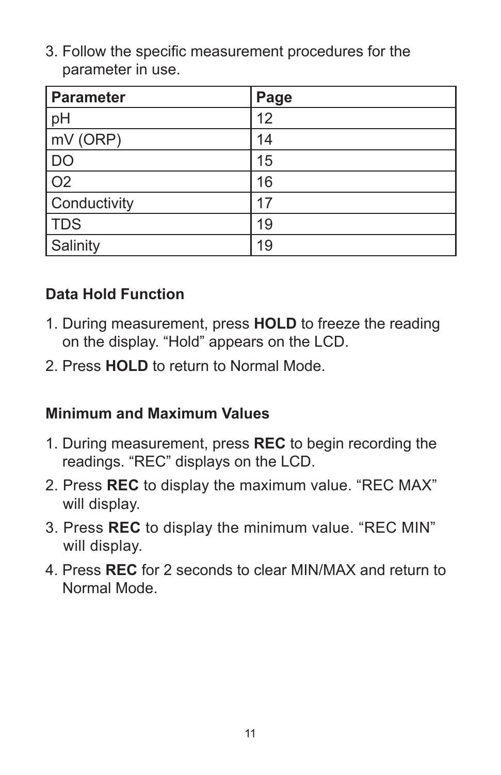3. Follow the specific measurement procedures for the parameter in use.

| <b>Parameter</b> | Page |
|------------------|------|
| pH               | 12   |
| mV (ORP)         | 14   |
| <b>DO</b>        | 15   |
| $\overline{O2}$  | 16   |
| Conductivity     | 17   |
| TDS              | 19   |
| Salinity         | 19   |

#### **Data Hold Function**

- 1. During measurement, press **HOLD** to freeze the reading on the display. "Hold" appears on the LCD.
- 2. Press **HOLD** to return to Normal Mode.

#### **Minimum and Maximum Values**

- 1. During measurement, press **REC** to begin recording the readings. "REC" displays on the LCD.
- 2. Press **REC** to display the maximum value. "REC MAX" will display.
- 3. Press **REC** to display the minimum value. "REC MIN" will display.
- 4. Press **REC** for 2 seconds to clear MIN/MAX and return to Normal Mode.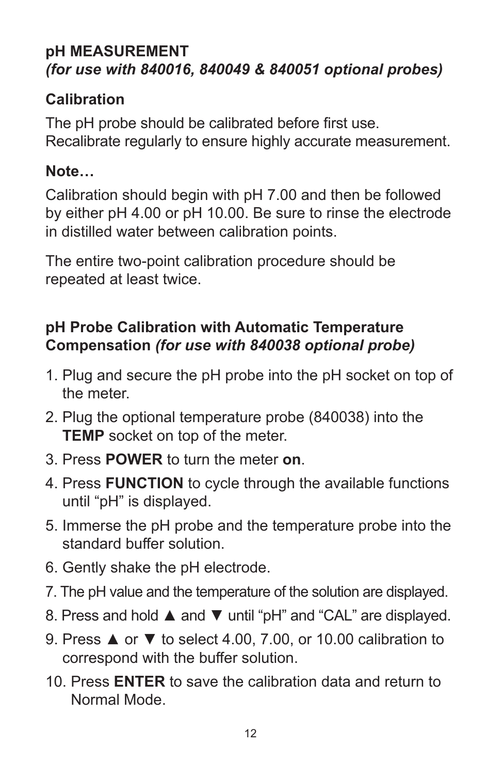#### **pH MEASUREMENT** *(for use with 840016, 840049 & 840051 optional probes)*

#### **Calibration**

The pH probe should be calibrated before first use. Recalibrate regularly to ensure highly accurate measurement.

#### **Note…**

Calibration should begin with pH 7.00 and then be followed by either pH 4.00 or pH 10.00. Be sure to rinse the electrode in distilled water between calibration points.

The entire two-point calibration procedure should be repeated at least twice.

### **pH Probe Calibration with Automatic Temperature Compensation** *(for use with 840038 optional probe)*

- 1. Plug and secure the pH probe into the pH socket on top of the meter.
- 2. Plug the optional temperature probe (840038) into the **TEMP** socket on top of the meter.
- 3. Press **POWER** to turn the meter **on**.
- 4. Press **FUNCTION** to cycle through the available functions until "pH" is displayed.
- 5. Immerse the pH probe and the temperature probe into the standard buffer solution.
- 6. Gently shake the pH electrode.
- 7. The pH value and the temperature of the solution are displayed.
- 8. Press and hold ▲ and ▼ until "pH" and "CAL" are displayed.
- 9. Press **▲** or ▼ to select 4.00, 7.00, or 10.00 calibration to correspond with the buffer solution.
- 10. Press **ENTER** to save the calibration data and return to Normal Mode.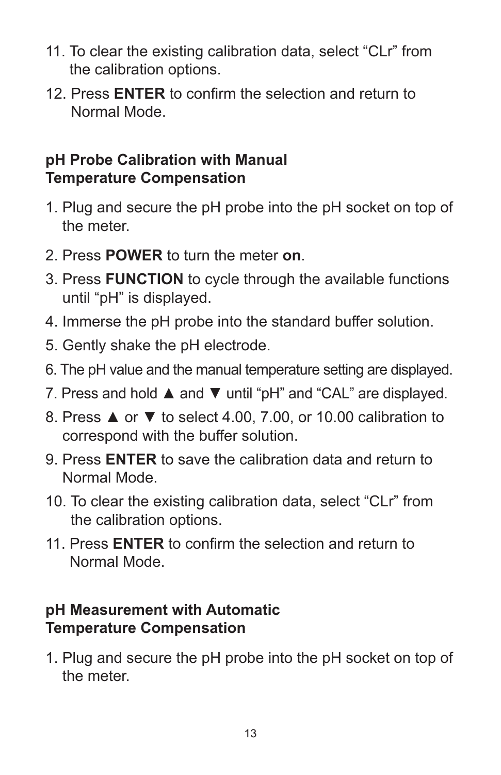- 11. To clear the existing calibration data, select "CLr" from the calibration options.
- 12. Press **ENTER** to confirm the selection and return to Normal Mode.

#### **pH Probe Calibration with Manual Temperature Compensation**

- 1. Plug and secure the pH probe into the pH socket on top of the meter.
- 2. Press **POWER** to turn the meter **on**.
- 3. Press **FUNCTION** to cycle through the available functions until "pH" is displayed.
- 4. Immerse the pH probe into the standard buffer solution.
- 5. Gently shake the pH electrode.
- 6. The pH value and the manual temperature setting are displayed.
- 7. Press and hold ▲ and ▼ until "pH" and "CAL" are displayed.
- 8. Press ▲ or ▼ to select 4.00, 7.00, or 10.00 calibration to correspond with the buffer solution.
- 9. Press **ENTER** to save the calibration data and return to Normal Mode.
- 10. To clear the existing calibration data, select "CLr" from the calibration options.
- 11. Press **ENTER** to confirm the selection and return to Normal Mode.

#### **pH Measurement with Automatic Temperature Compensation**

1. Plug and secure the pH probe into the pH socket on top of the meter.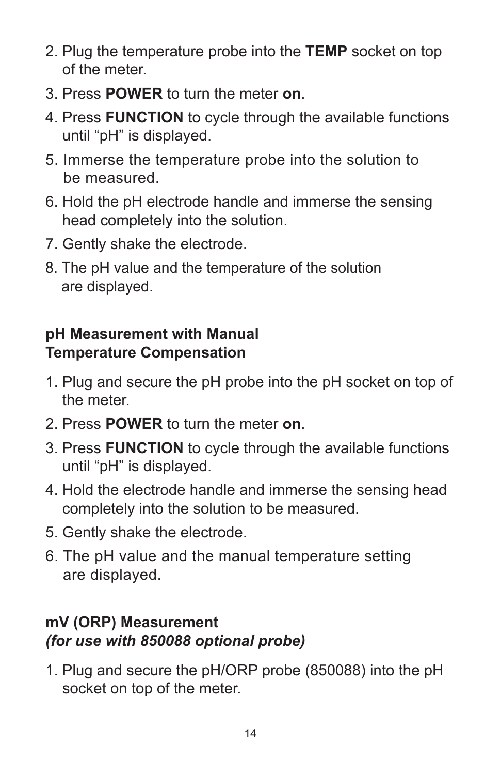- 2. Plug the temperature probe into the **TEMP** socket on top of the meter.
- 3. Press **POWER** to turn the meter **on**.
- 4. Press **FUNCTION** to cycle through the available functions until "pH" is displayed.
- 5. Immerse the temperature probe into the solution to be measured.
- 6. Hold the pH electrode handle and immerse the sensing head completely into the solution.
- 7. Gently shake the electrode.
- 8. The pH value and the temperature of the solution are displayed.

## **pH Measurement with Manual Temperature Compensation**

- 1. Plug and secure the pH probe into the pH socket on top of the meter.
- 2. Press **POWER** to turn the meter **on**.
- 3. Press **FUNCTION** to cycle through the available functions until "pH" is displayed.
- 4. Hold the electrode handle and immerse the sensing head completely into the solution to be measured.
- 5. Gently shake the electrode.
- 6. The pH value and the manual temperature setting are displayed.

#### **mV (ORP) Measurement**  *(for use with 850088 optional probe)*

1. Plug and secure the pH/ORP probe (850088) into the pH socket on top of the meter.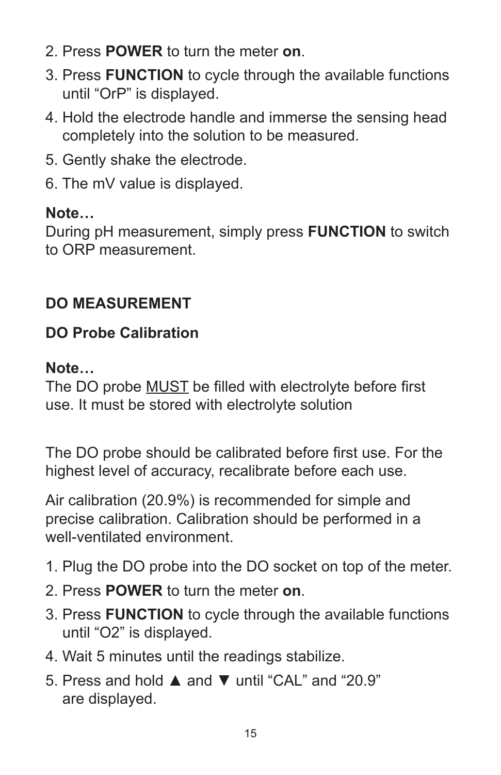- 2. Press **POWER** to turn the meter **on**.
- 3. Press **FUNCTION** to cycle through the available functions until "OrP" is displayed.
- 4. Hold the electrode handle and immerse the sensing head completely into the solution to be measured.
- 5. Gently shake the electrode.
- 6. The mV value is displayed.

#### **Note…**

During pH measurement, simply press **FUNCTION** to switch to ORP measurement.

## **DO MEASUREMENT**

#### **DO Probe Calibration**

#### **Note…**

The DO probe MUST be filled with electrolyte before first use. It must be stored with electrolyte solution

The DO probe should be calibrated before first use. For the highest level of accuracy, recalibrate before each use.

Air calibration (20.9%) is recommended for simple and precise calibration. Calibration should be performed in a well-ventilated environment

- 1. Plug the DO probe into the DO socket on top of the meter.
- 2. Press **POWER** to turn the meter **on**.
- 3. Press **FUNCTION** to cycle through the available functions until "O2" is displayed.
- 4. Wait 5 minutes until the readings stabilize.
- 5. Press and hold ▲ and ▼ until "CAL" and "20.9" are displayed.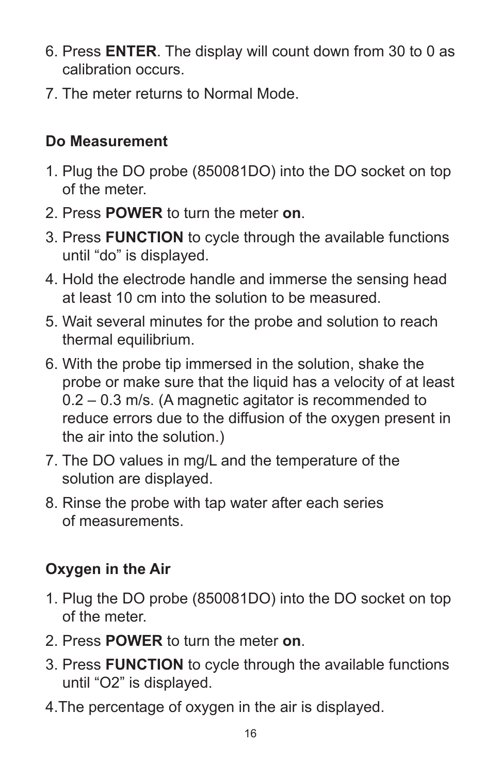- 6. Press **ENTER**. The display will count down from 30 to 0 as calibration occurs.
- 7. The meter returns to Normal Mode.

## **Do Measurement**

- 1. Plug the DO probe (850081DO) into the DO socket on top of the meter.
- 2. Press **POWER** to turn the meter **on**.
- 3. Press **FUNCTION** to cycle through the available functions until "do" is displayed.
- 4. Hold the electrode handle and immerse the sensing head at least 10 cm into the solution to be measured.
- 5. Wait several minutes for the probe and solution to reach thermal equilibrium.
- 6. With the probe tip immersed in the solution, shake the probe or make sure that the liquid has a velocity of at least 0.2 – 0.3 m/s. (A magnetic agitator is recommended to reduce errors due to the diffusion of the oxygen present in the air into the solution.)
- 7. The DO values in mg/L and the temperature of the solution are displayed.
- 8. Rinse the probe with tap water after each series of measurements.

# **Oxygen in the Air**

- 1. Plug the DO probe (850081DO) into the DO socket on top of the meter.
- 2. Press **POWER** to turn the meter **on**.
- 3. Press **FUNCTION** to cycle through the available functions until "O2" is displayed.
- 4.The percentage of oxygen in the air is displayed.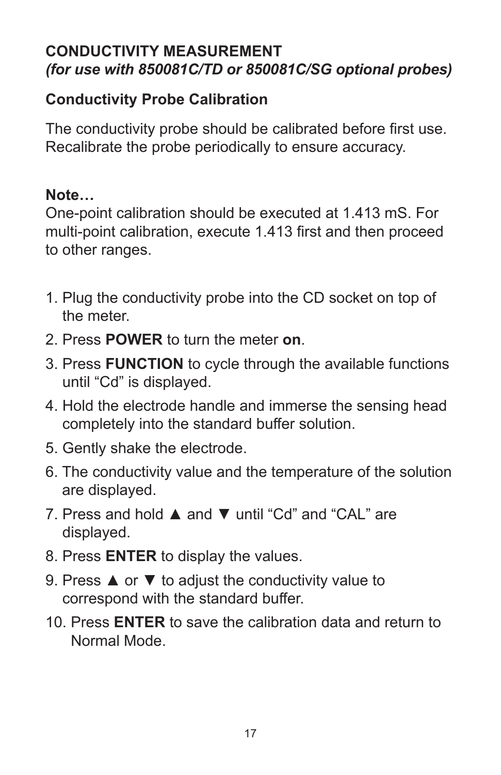#### **CONDUCTIVITY MEASUREMENT** *(for use with 850081C/TD or 850081C/SG optional probes)*

#### **Conductivity Probe Calibration**

The conductivity probe should be calibrated before first use. Recalibrate the probe periodically to ensure accuracy.

#### **Note…**

One-point calibration should be executed at 1.413 mS. For multi-point calibration, execute 1.413 first and then proceed to other ranges.

- 1. Plug the conductivity probe into the CD socket on top of the meter.
- 2. Press **POWER** to turn the meter **on**.
- 3. Press **FUNCTION** to cycle through the available functions until "Cd" is displayed.
- 4. Hold the electrode handle and immerse the sensing head completely into the standard buffer solution.
- 5. Gently shake the electrode.
- 6. The conductivity value and the temperature of the solution are displayed.
- 7. Press and hold ▲ and ▼ until "Cd" and "CAL" are displayed.
- 8. Press **ENTER** to display the values.
- 9. Press **▲** or  $\blacktriangledown$  to adjust the conductivity value to correspond with the standard buffer.
- 10. Press **ENTER** to save the calibration data and return to Normal Mode.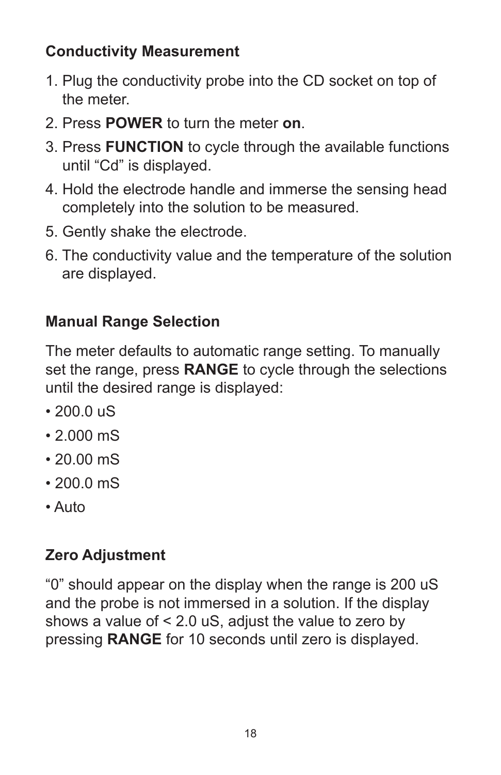## **Conductivity Measurement**

- 1. Plug the conductivity probe into the CD socket on top of the meter.
- 2. Press **POWER** to turn the meter **on**.
- 3. Press **FUNCTION** to cycle through the available functions until "Cd" is displayed.
- 4. Hold the electrode handle and immerse the sensing head completely into the solution to be measured.
- 5. Gently shake the electrode.
- 6. The conductivity value and the temperature of the solution are displayed.

# **Manual Range Selection**

The meter defaults to automatic range setting. To manually set the range, press **RANGE** to cycle through the selections until the desired range is displayed:

- $\cdot$  200.0  $\mu$ S
- 2.000 mS
- 20.00 mS
- $200.0 \text{ mS}$
- Auto

# **Zero Adjustment**

"0" should appear on the display when the range is 200 uS and the probe is not immersed in a solution. If the display shows a value of < 2.0 uS, adjust the value to zero by pressing **RANGE** for 10 seconds until zero is displayed.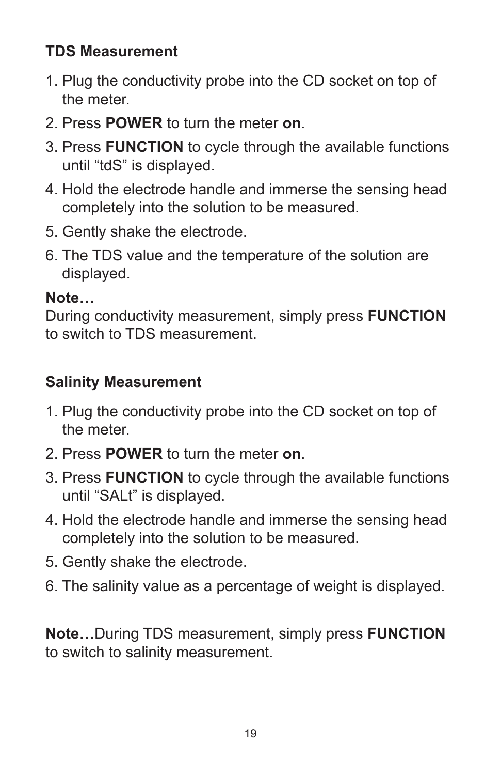## **TDS Measurement**

- 1. Plug the conductivity probe into the CD socket on top of the meter.
- 2. Press **POWER** to turn the meter **on**.
- 3. Press **FUNCTION** to cycle through the available functions until "tdS" is displayed.
- 4. Hold the electrode handle and immerse the sensing head completely into the solution to be measured.
- 5. Gently shake the electrode.
- 6. The TDS value and the temperature of the solution are displayed.

### **Note…**

During conductivity measurement, simply press **FUNCTION** to switch to TDS measurement.

# **Salinity Measurement**

- 1. Plug the conductivity probe into the CD socket on top of the meter.
- 2. Press **POWER** to turn the meter **on**.
- 3. Press **FUNCTION** to cycle through the available functions until "SALt" is displayed.
- 4. Hold the electrode handle and immerse the sensing head completely into the solution to be measured.
- 5. Gently shake the electrode.
- 6. The salinity value as a percentage of weight is displayed.

**Note…**During TDS measurement, simply press **FUNCTION** to switch to salinity measurement.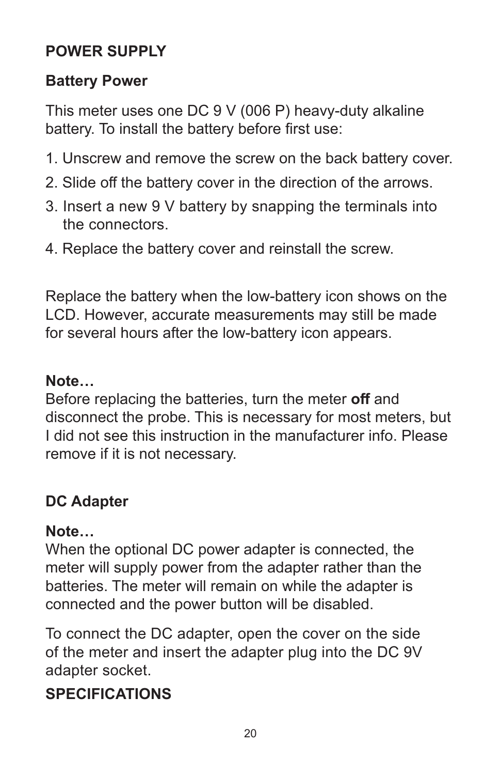## **POWER SUPPLY**

#### **Battery Power**

This meter uses one DC 9 V (006 P) heavy-duty alkaline battery. To install the battery before first use:

- 1. Unscrew and remove the screw on the back battery cover.
- 2. Slide off the battery cover in the direction of the arrows.
- 3. Insert a new 9 V battery by snapping the terminals into the connectors.
- 4. Replace the battery cover and reinstall the screw.

Replace the battery when the low-battery icon shows on the LCD. However, accurate measurements may still be made for several hours after the low-battery icon appears.

#### **Note…**

Before replacing the batteries, turn the meter **off** and disconnect the probe. This is necessary for most meters, but I did not see this instruction in the manufacturer info. Please remove if it is not necessary.

## **DC Adapter**

#### **Note…**

When the optional DC power adapter is connected, the meter will supply power from the adapter rather than the batteries. The meter will remain on while the adapter is connected and the power button will be disabled.

To connect the DC adapter, open the cover on the side of the meter and insert the adapter plug into the DC 9V adapter socket.

## **SPECIFICATIONS**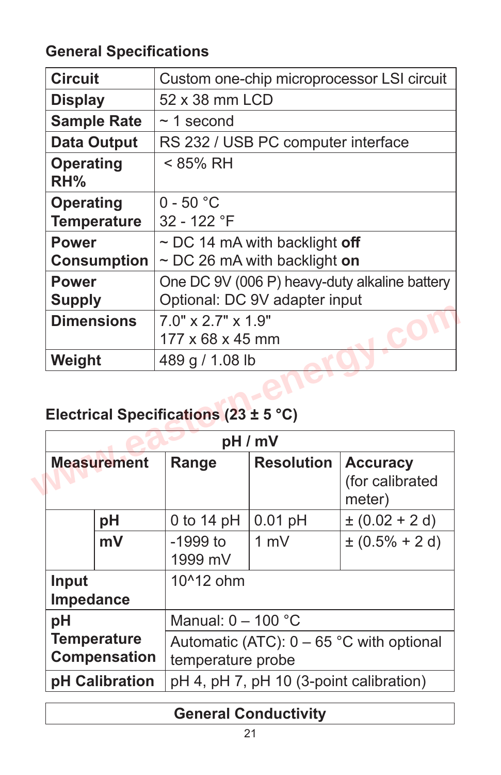## **General Specifications**

| <b>Circuit</b>                        | Custom one-chip microprocessor LSI circuit    |                                    |                                              |  |
|---------------------------------------|-----------------------------------------------|------------------------------------|----------------------------------------------|--|
| <b>Display</b>                        | 52 x 38 mm LCD                                |                                    |                                              |  |
| <b>Sample Rate</b>                    | $\sim$ 1 second                               |                                    |                                              |  |
| Data Output                           |                                               | RS 232 / USB PC computer interface |                                              |  |
| <b>Operating</b><br>RH%               | < 85% RH                                      |                                    |                                              |  |
| <b>Operating</b>                      | $0 - 50 °C$                                   |                                    |                                              |  |
| <b>Temperature</b>                    | 32 - 122 °F                                   |                                    |                                              |  |
| <b>Power</b>                          |                                               | $\sim$ DC 14 mA with backlight off |                                              |  |
| <b>Consumption</b>                    | $\sim$ DC 26 mA with backlight on             |                                    |                                              |  |
| <b>Power</b>                          | One DC 9V (006 P) heavy-duty alkaline battery |                                    |                                              |  |
| <b>Supply</b>                         | Optional: DC 9V adapter input                 |                                    |                                              |  |
| <b>Dimensions</b>                     | $7.0" \times 2.7" \times 1.9"$                |                                    |                                              |  |
|                                       | 177 x 68 x 45 mm                              |                                    |                                              |  |
| Weight                                | 489 g / 1.08 lb                               |                                    |                                              |  |
| Electrical Specifications (23 ± 5 °C) |                                               |                                    |                                              |  |
|                                       |                                               | pH / mV                            |                                              |  |
| <b>Measurement</b>                    | Range                                         | <b>Resolution</b>                  | <b>Accuracy</b><br>(for calibrated<br>$-4-4$ |  |

## **Electrical Specifications (23 ± 5 °C)**

| pH/mV              |                     |                                            |                   |                                              |
|--------------------|---------------------|--------------------------------------------|-------------------|----------------------------------------------|
| <b>Measurement</b> |                     | Range                                      | <b>Resolution</b> | <b>Accuracy</b><br>(for calibrated<br>meter) |
|                    | pH                  | 0 to 14 $pH$                               | $0.01$ pH         | $\pm (0.02 + 2 d)$                           |
|                    | mV                  | $-1999$ to<br>1999 mV                      | $1 \text{ mV}$    | $\pm (0.5\% + 2 d)$                          |
| Input<br>Impedance |                     | 10^12 ohm                                  |                   |                                              |
| pH                 |                     | Manual: $0 - 100$ °C                       |                   |                                              |
|                    | <b>Temperature</b>  | Automatic (ATC): $0 - 65$ °C with optional |                   |                                              |
|                    | <b>Compensation</b> | temperature probe                          |                   |                                              |
|                    | pH Calibration      | pH 4, pH 7, pH 10 (3-point calibration)    |                   |                                              |

# **General Conductivity**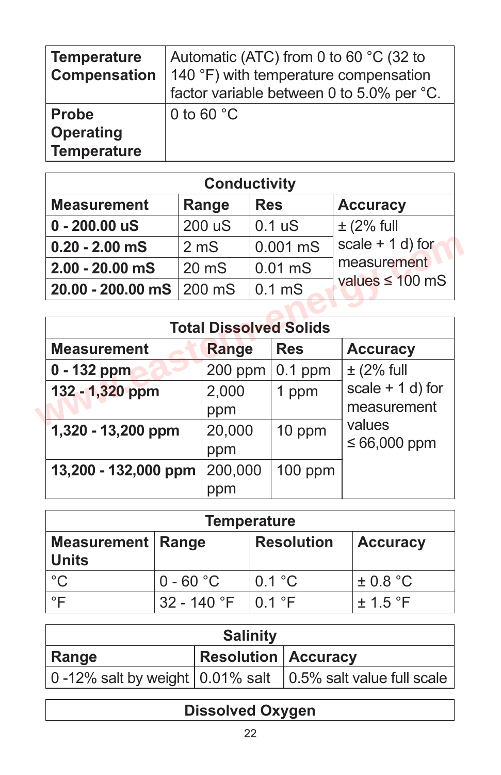| <b>Temperature</b><br><b>Compensation</b>              | Automatic (ATC) from 0 to 60 °C (32 to<br>140 °F) with temperature compensation<br>factor variable between 0 to 5.0% per °C. |
|--------------------------------------------------------|------------------------------------------------------------------------------------------------------------------------------|
| <b>Probe</b><br><b>Operating</b><br><b>Temperature</b> | 0 to 60 $^{\circ}$ C                                                                                                         |

| <b>Conductivity</b>      |                  |                    |                      |  |
|--------------------------|------------------|--------------------|----------------------|--|
| <b>Measurement</b>       | Range            | <b>Res</b>         | <b>Accuracy</b>      |  |
| $0 - 200.00$ uS          | 200 uS           | 0.1 <sub>u</sub> S | $\pm$ (2% full       |  |
| $0.20 - 2.00$ mS         | 2 <sub>m</sub> S | $0.001$ mS         | scale $+ 1 d$ ) for  |  |
| $2.00 - 20.00$ mS        | $20 \text{ mS}$  | $0.01$ mS          | measurement          |  |
| 20.00 - 200.00 mS 200 mS |                  | 0.1 <sub>m</sub> S | values $\leq 100$ mS |  |

| $0.20 - 2.00$ mS     | 2 <sub>m</sub> S |           |                   | $0.001$ mS                    | scale $+ 1 d$ ) for                 |
|----------------------|------------------|-----------|-------------------|-------------------------------|-------------------------------------|
| $2.00 - 20.00$ mS    | $20 \text{ mS}$  |           | $0.01$ mS         |                               | measurement<br>values $\leq 100$ mS |
| 20.00 - 200.00 mS    | 200 mS           |           | 0.1 <sub>ms</sub> |                               |                                     |
|                      |                  |           |                   |                               |                                     |
|                      |                  |           |                   | <b>Total Dissolved Solids</b> |                                     |
| <b>Measurement</b>   |                  | Range     |                   | <b>Res</b>                    | <b>Accuracy</b>                     |
| $0 - 132$ ppm        |                  | $200$ ppm |                   | $0.1$ ppm                     | $\pm$ (2% full                      |
| 132 - 1,320 ppm      |                  | 2,000     |                   | 1 ppm                         | scale $+ 1 d$ ) for                 |
|                      |                  | ppm       |                   |                               | measurement                         |
| 1,320 - 13,200 ppm   |                  | 20,000    |                   | 10 ppm                        | values                              |
|                      |                  | ppm       |                   |                               | $\leq 66,000$ ppm                   |
| 13,200 - 132,000 ppm |                  | 200,000   |                   | 100 ppm                       |                                     |
|                      |                  | ppm       |                   |                               |                                     |

| <b>Temperature</b>                         |               |                   |                 |  |
|--------------------------------------------|---------------|-------------------|-----------------|--|
| <b>Measurement   Range</b><br><b>Units</b> |               | <b>Resolution</b> | <b>Accuracy</b> |  |
| $^{\circ}C$                                | $0 - 60 °C$   | 0.1 °C            | $\pm$ 0.8 °C    |  |
| °⊏                                         | $32 - 140$ °F | $\vert$ 0.1 °F    | $\pm$ 1.5 °F    |  |

| <b>Salinity</b> |                            |                                                                            |  |
|-----------------|----------------------------|----------------------------------------------------------------------------|--|
| Range           | <b>Resolution Accuracy</b> |                                                                            |  |
|                 |                            | 0-12% salt by weight $\vert$ 0.01% salt $\vert$ 0.5% salt value full scale |  |

# **Dissolved Oxygen**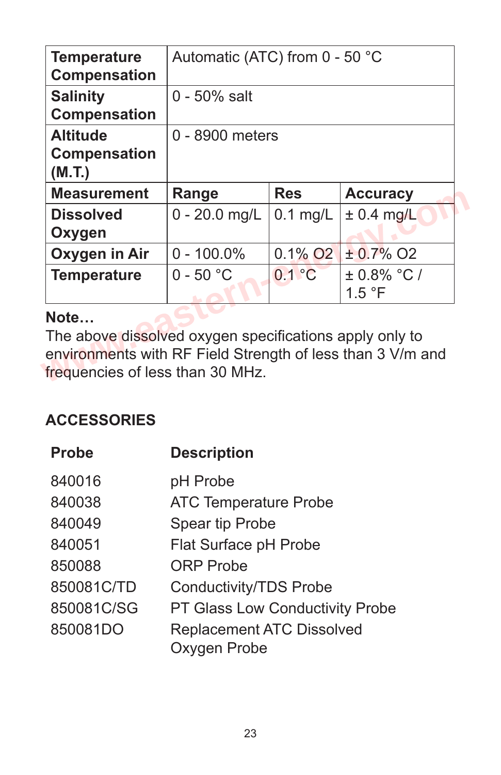| <b>Temperature</b><br><b>Compensation</b>        | Automatic (ATC) from 0 - 50 °C |                        |                          |  |
|--------------------------------------------------|--------------------------------|------------------------|--------------------------|--|
| <b>Salinity</b><br><b>Compensation</b>           | $0 - 50\%$ salt                |                        |                          |  |
| <b>Altitude</b><br><b>Compensation</b><br>(M.T.) | 0 - 8900 meters                |                        |                          |  |
| <b>Measurement</b>                               | Range                          | <b>Res</b>             | <b>Accuracy</b>          |  |
| <b>Dissolved</b><br>Oxygen                       | $0 - 20.0$ mg/L                | $0.1$ mg/L             | $\pm$ 0.4 mg/L           |  |
| Oxygen in Air                                    | $0 - 100.0\%$                  | $0.1\%$ O <sub>2</sub> | $± 0.7\%$ O <sub>2</sub> |  |
| <b>Temperature</b>                               | $0 - 50 °C$                    | 0.1 °C                 | $±0.8\% °C/$<br>1.5 °F   |  |
|                                                  |                                |                        |                          |  |

#### **Note…**

## **ACCESSORIES**

| <b>Probe</b> | <b>Description</b>                               |
|--------------|--------------------------------------------------|
| 840016       | pH Probe                                         |
| 840038       | <b>ATC Temperature Probe</b>                     |
| 840049       | <b>Spear tip Probe</b>                           |
| 840051       | Flat Surface pH Probe                            |
| 850088       | <b>ORP</b> Probe                                 |
| 850081C/TD   | <b>Conductivity/TDS Probe</b>                    |
| 850081C/SG   | <b>PT Glass Low Conductivity Probe</b>           |
| 850081DO     | <b>Replacement ATC Dissolved</b><br>Oxygen Probe |